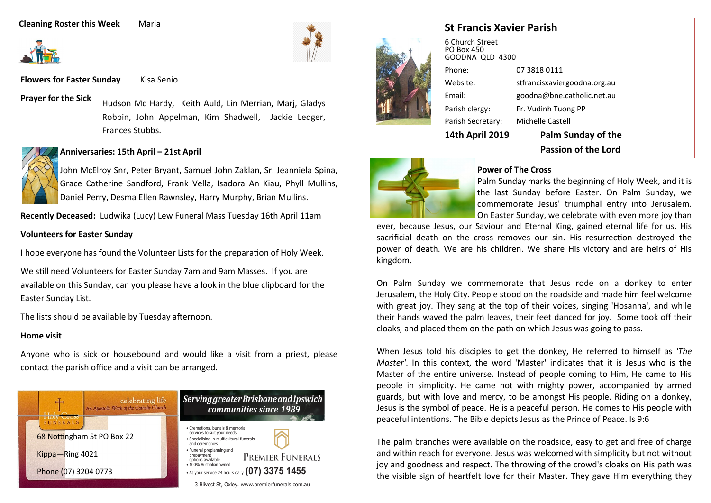#### **Cleaning Roster this Week Maria**



**Flowers for Easter Sunday** Kisa Senio

**Prayer for the Sick**

Hudson Mc Hardy, Keith Auld, Lin Merrian, Marj, Gladys Robbin, John Appelman, Kim Shadwell, Jackie Ledger, Frances Stubbs.

#### **Anniversaries: 15th April – 21st April**

John McElroy Snr, Peter Bryant, Samuel John Zaklan, Sr. Jeanniela Spina, Grace Catherine Sandford, Frank Vella, Isadora An Kiau, Phyll Mullins, Daniel Perry, Desma Ellen Rawnsley, Harry Murphy, Brian Mullins.

**Recently Deceased:** Ludwika (Lucy) Lew Funeral Mass Tuesday 16th April 11am

#### **Volunteers for Easter Sunday**

I hope everyone has found the Volunteer Lists for the preparation of Holy Week.

We still need Volunteers for Easter Sunday 7am and 9am Masses. If you are available on this Sunday, can you please have a look in the blue clipboard for the Easter Sunday List.

The lists should be available by Tuesday afternoon.

#### **Home visit**

Anyone who is sick or housebound and would like a visit from a priest, please contact the parish office and a visit can be arranged.





# **St Francis Xavier Parish**

|                                                  | <b>Passion of the Lord</b>   |
|--------------------------------------------------|------------------------------|
| <b>14th April 2019</b>                           | <b>Palm Sunday of the</b>    |
| Parish Secretary:                                | Michelle Castell             |
| Parish clergy:                                   | Fr. Vudinh Tuong PP          |
| Email:                                           | goodna@bne.catholic.net.au   |
| Website:                                         | stfrancisxaviergoodna.org.au |
| Phone:                                           | 07 3818 0111                 |
| 6 Church Street<br>PO Box 450<br>GOODNA QLD 4300 |                              |



#### **Power of The Cross**

Palm Sunday marks the beginning of Holy Week, and it is the last Sunday before Easter. On Palm Sunday, we commemorate Jesus' triumphal entry into Jerusalem. On Easter Sunday, we celebrate with even more joy than

ever, because Jesus, our Saviour and Eternal King, gained eternal life for us. His sacrificial death on the cross removes our sin. His resurrection destroyed the power of death. We are his children. We share His victory and are heirs of His kingdom.

On Palm Sunday we commemorate that Jesus rode on a donkey to enter Jerusalem, the Holy City. People stood on the roadside and made him feel welcome with great joy. They sang at the top of their voices, singing 'Hosanna', and while their hands waved the palm leaves, their feet danced for joy. Some took off their cloaks, and placed them on the path on which Jesus was going to pass.

When Jesus told his disciples to get the donkey, He referred to himself as *'The Master'*. In this context, the word 'Master' indicates that it is Jesus who is the Master of the entire universe. Instead of people coming to Him, He came to His people in simplicity. He came not with mighty power, accompanied by armed guards, but with love and mercy, to be amongst His people. Riding on a donkey, Jesus is the symbol of peace. He is a peaceful person. He comes to His people with peaceful intentions. The Bible depicts Jesus as the Prince of Peace. Is 9:6

The palm branches were available on the roadside, easy to get and free of charge and within reach for everyone. Jesus was welcomed with simplicity but not without joy and goodness and respect. The throwing of the crowd's cloaks on His path was the visible sign of heartfelt love for their Master. They gave Him everything they